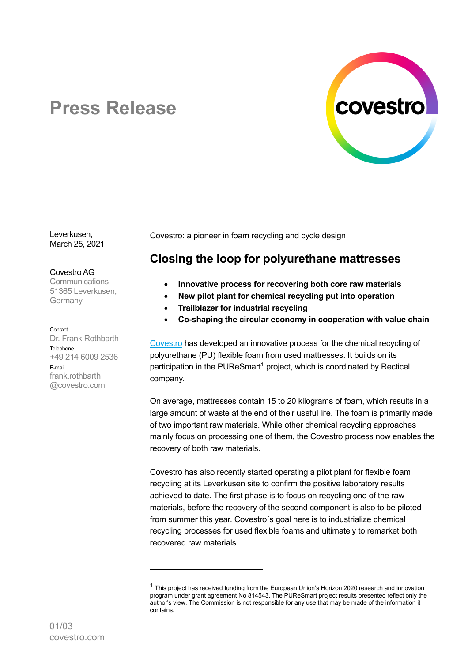

# **Press Release**

Leverkusen, March 25, 2021

#### Covestro AG

**Communications** 51365 Leverkusen, **Germany** 

Contact

Dr. Frank Rothbarth **Telephone** +49 214 6009 2536 E-mail frank.rothbarth @covestro.com

Covestro: a pioneer in foam recycling and cycle design

## **Closing the loop for polyurethane mattresses**

- **Innovative process for recovering both core raw materials**
- **New pilot plant for chemical recycling put into operation**
- **Trailblazer for industrial recycling**
- **Co-shaping the circular economy in cooperation with value chain**

Covestro has developed an innovative process for the chemical recycling of polyurethane (PU) flexible foam from used mattresses. It builds on its participation in the PUReSmart<sup>1</sup> project, which is coordinated by Recticel company.

On average, mattresses contain 15 to 20 kilograms of foam, which results in a large amount of waste at the end of their useful life. The foam is primarily made of two important raw materials. While other chemical recycling approaches mainly focus on processing one of them, the Covestro process now enables the recovery of both raw materials.

Covestro has also recently started operating a pilot plant for flexible foam recycling at its Leverkusen site to confirm the positive laboratory results achieved to date. The first phase is to focus on recycling one of the raw materials, before the recovery of the second component is also to be piloted from summer this year. Covestro´s goal here is to industrialize chemical recycling processes for used flexible foams and ultimately to remarket both recovered raw materials.

 $1$  This project has received funding from the European Union's Horizon 2020 research and innovation program under grant agreement No 814543. The PUReSmart project results presented reflect only the author's view. The Commission is not responsible for any use that may be made of the information it contains.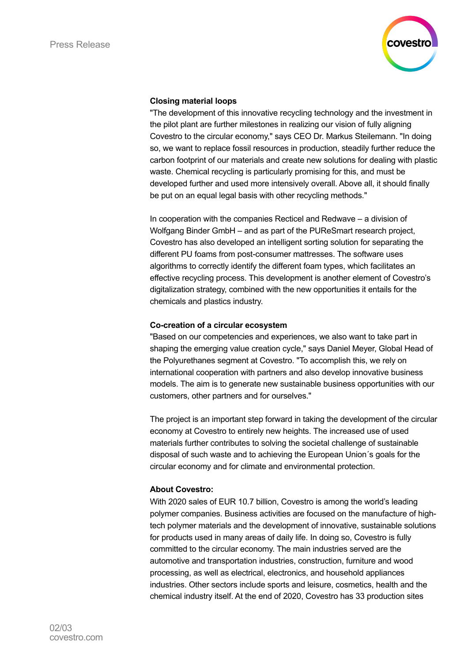

#### **Closing material loops**

"The development of this innovative recycling technology and the investment in the pilot plant are further milestones in realizing our vision of fully aligning Covestro to the circular economy," says CEO Dr. Markus Steilemann. "In doing so, we want to replace fossil resources in production, steadily further reduce the carbon footprint of our materials and create new solutions for dealing with plastic waste. Chemical recycling is particularly promising for this, and must be developed further and used more intensively overall. Above all, it should finally be put on an equal legal basis with other recycling methods."

In cooperation with the companies Recticel and Redwave – a division of Wolfgang Binder GmbH – and as part of the PUReSmart research project, Covestro has also developed an intelligent sorting solution for separating the different PU foams from post-consumer mattresses. The software uses algorithms to correctly identify the different foam types, which facilitates an effective recycling process. This development is another element of Covestro's digitalization strategy, combined with the new opportunities it entails for the chemicals and plastics industry.

#### **Co-creation of a circular ecosystem**

"Based on our competencies and experiences, we also want to take part in shaping the emerging value creation cycle," says Daniel Meyer, Global Head of the Polyurethanes segment at Covestro. "To accomplish this, we rely on international cooperation with partners and also develop innovative business models. The aim is to generate new sustainable business opportunities with our customers, other partners and for ourselves."

The project is an important step forward in taking the development of the circular economy at Covestro to entirely new heights. The increased use of used materials further contributes to solving the societal challenge of sustainable disposal of such waste and to achieving the European Union´s goals for the circular economy and for climate and environmental protection.

### **About Covestro:**

With 2020 sales of EUR 10.7 billion, Covestro is among the world's leading polymer companies. Business activities are focused on the manufacture of hightech polymer materials and the development of innovative, sustainable solutions for products used in many areas of daily life. In doing so, Covestro is fully committed to the circular economy. The main industries served are the automotive and transportation industries, construction, furniture and wood processing, as well as electrical, electronics, and household appliances industries. Other sectors include sports and leisure, cosmetics, health and the chemical industry itself. At the end of 2020, Covestro has 33 production sites